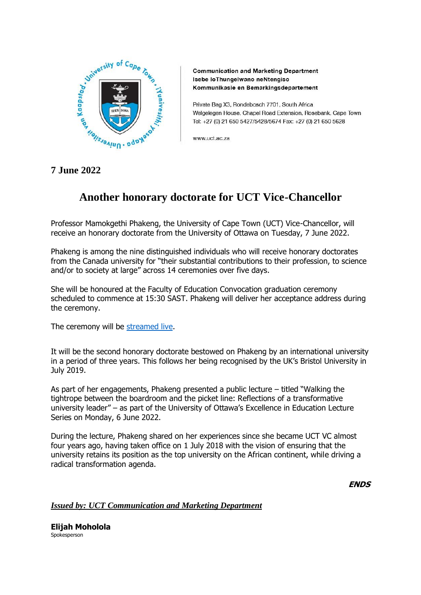

**Communication and Marketing Department** Isebe loThungelwano neNtengiso Kommunikasie en Bemarkingsdepartement

Private Bag X3, Rondebosch 7701, South Africa Welgelegen House, Chapel Road Extension, Rosebank, Cape Town Tel: +27 (0) 21 650 5427/5428/5674 Fax: +27 (0) 21 650 5628

www.uct.ac.za

## **7 June 2022**

## **Another honorary doctorate for UCT Vice-Chancellor**

Professor Mamokgethi Phakeng, the University of Cape Town (UCT) Vice-Chancellor, will receive an honorary doctorate from the University of Ottawa on Tuesday, 7 June 2022.

Phakeng is among the nine distinguished individuals who will receive honorary doctorates from the Canada university for "their substantial contributions to their profession, to science and/or to society at large" across 14 ceremonies over five days.

She will be honoured at the Faculty of Education Convocation graduation ceremony scheduled to commence at 15:30 SAST. Phakeng will deliver her acceptance address during the ceremony.

The ceremony will be [streamed live.](https://www.youtube.com/user/uottawa)

It will be the second honorary doctorate bestowed on Phakeng by an international university in a period of three years. This follows her being recognised by the UK's Bristol University in July 2019.

As part of her engagements, Phakeng presented a public lecture – titled "Walking the tightrope between the boardroom and the picket line: Reflections of a transformative university leader" – as part of the University of Ottawa's Excellence in Education Lecture Series on Monday, 6 June 2022.

During the lecture, Phakeng shared on her experiences since she became UCT VC almost four years ago, having taken office on 1 July 2018 with the vision of ensuring that the university retains its position as the top university on the African continent, while driving a radical transformation agenda.

**ENDS**

*Issued by: UCT Communication and Marketing Department*

**Elijah Moholola** Spokesperson